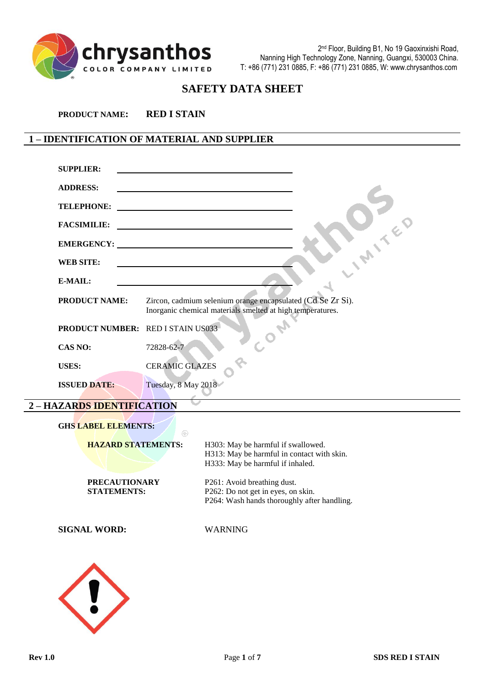

2 nd Floor, Building B1, No 19 Gaoxinxishi Road, Nanning High Technology Zone, Nanning, Guangxi, 530003 China. T: +86 (771) 231 0885, F: +86 (771) 231 0885, W: www.chrysanthos.com

# **SAFETY DATA SHEET**

**PRODUCT NAME: RED I STAIN**

# **1 – IDENTIFICATION OF MATERIAL AND SUPPLIER**

| <b>SUPPLIER:</b>                         |                                                                                                                           |
|------------------------------------------|---------------------------------------------------------------------------------------------------------------------------|
| <b>ADDRESS:</b>                          |                                                                                                                           |
| <b>TELEPHONE:</b>                        |                                                                                                                           |
| <b>FACSIMILIE:</b>                       |                                                                                                                           |
|                                          |                                                                                                                           |
| <b>WEB SITE:</b>                         |                                                                                                                           |
| E-MAIL:                                  |                                                                                                                           |
| <b>PRODUCT NAME:</b>                     | Zircon, cadmium selenium orange encapsulated (Cd Se Zr Si).<br>Inorganic chemical materials smelted at high temperatures. |
| <b>PRODUCT NUMBER: RED I STAIN US033</b> |                                                                                                                           |
| CAS NO:                                  | 72828-62-7                                                                                                                |
| <b>USES:</b>                             | <b>CERAMIC GLAZES</b>                                                                                                     |
| <b>ISSUED DATE:</b>                      | Tuesday, 8 May 2018                                                                                                       |

# **2 – HAZARDS IDENTIFICATION**

| <b>GHS LABEL ELEMENTS:</b><br>$^{\circledR}$ |                                             |
|----------------------------------------------|---------------------------------------------|
| <b>HAZARD STATEMENTS:</b>                    | H303: May be harmful if swallowed.          |
|                                              | H313: May be harmful in contact with skin.  |
|                                              | H333: May be harmful if inhaled.            |
| <b>PRECAUTIONARY</b>                         | P261: Avoid breathing dust.                 |
| <b>STATEMENTS:</b>                           | P262: Do not get in eyes, on skin.          |
|                                              | P264: Wash hands thoroughly after handling. |
| <b>SIGNAL WORD:</b>                          | <b>WARNING</b>                              |
|                                              |                                             |
|                                              |                                             |
|                                              |                                             |
|                                              |                                             |
|                                              |                                             |
|                                              |                                             |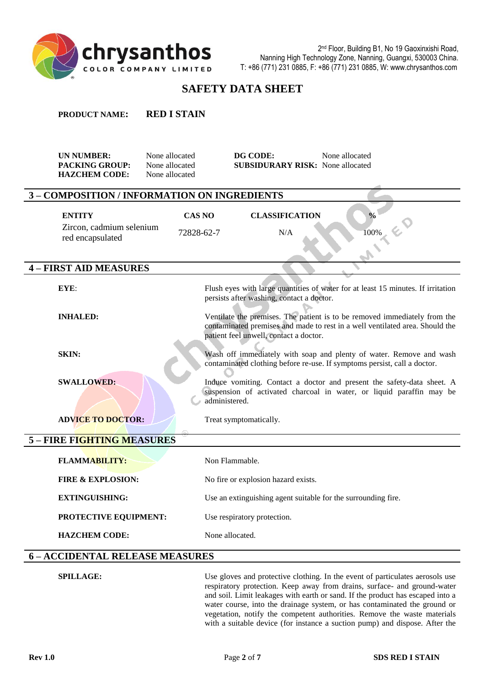

**PRODUCT NAME: RED I STAIN**

# **SAFETY DATA SHEET**

| <b>UN NUMBER:</b><br><b>PACKING GROUP:</b><br><b>HAZCHEM CODE:</b> | None allocated<br>None allocated<br>None allocated | DG CODE:<br><b>SUBSIDURARY RISK:</b> None allocated           | None allocated                                                                                                                                            |
|--------------------------------------------------------------------|----------------------------------------------------|---------------------------------------------------------------|-----------------------------------------------------------------------------------------------------------------------------------------------------------|
| 3 - COMPOSITION / INFORMATION ON INGREDIENTS                       |                                                    |                                                               |                                                                                                                                                           |
| <b>ENTITY</b><br>Zircon, cadmium selenium<br>red encapsulated      | <b>CAS NO</b><br>72828-62-7                        | <b>CLASSIFICATION</b><br>N/A                                  | $\frac{0}{0}$<br>100%                                                                                                                                     |
| - FIRST AID MEASURES                                               |                                                    |                                                               |                                                                                                                                                           |
| EYE                                                                |                                                    | persists after washing, contact a doctor.                     | Flush eyes with large quantities of water for at least 15 minutes. If irritation                                                                          |
| <b>INHALED:</b>                                                    |                                                    | patient feel unwell, contact a doctor.                        | Ventilate the premises. The patient is to be removed immediately from the<br>contaminated premises and made to rest in a well ventilated area. Should the |
| <b>SKIN:</b>                                                       |                                                    |                                                               | Wash off immediately with soap and plenty of water. Remove and wash<br>contaminated clothing before re-use. If symptoms persist, call a doctor.           |
| <b>SWALLOWED:</b>                                                  |                                                    | administered.                                                 | Induce vomiting. Contact a doctor and present the safety-data sheet. A<br>suspension of activated charcoal in water, or liquid paraffin may be            |
| <b>ADVICE TO DOCTOR:</b>                                           |                                                    | Treat symptomatically.                                        |                                                                                                                                                           |
| 5 - FIRE FIGHTING MEASURES                                         |                                                    |                                                               |                                                                                                                                                           |
| <b>FLAMMABILITY:</b>                                               |                                                    | Non Flammable.                                                |                                                                                                                                                           |
| <b>FIRE &amp; EXPLOSION:</b>                                       |                                                    | No fire or explosion hazard exists.                           |                                                                                                                                                           |
| <b>EXTINGUISHING:</b>                                              |                                                    | Use an extinguishing agent suitable for the surrounding fire. |                                                                                                                                                           |
| PROTECTIVE EQUIPMENT:                                              |                                                    | Use respiratory protection.                                   |                                                                                                                                                           |
| <b>HAZCHEM CODE:</b>                                               |                                                    | None allocated.                                               |                                                                                                                                                           |

# **6 – ACCIDENTAL RELEASE MEASURES**

**SPILLAGE:** Use gloves and protective clothing. In the event of particulates aerosols use respiratory protection. Keep away from drains, surface- and ground-water and soil. Limit leakages with earth or sand. If the product has escaped into a water course, into the drainage system, or has contaminated the ground or vegetation, notify the competent authorities. Remove the waste materials with a suitable device (for instance a suction pump) and dispose. After the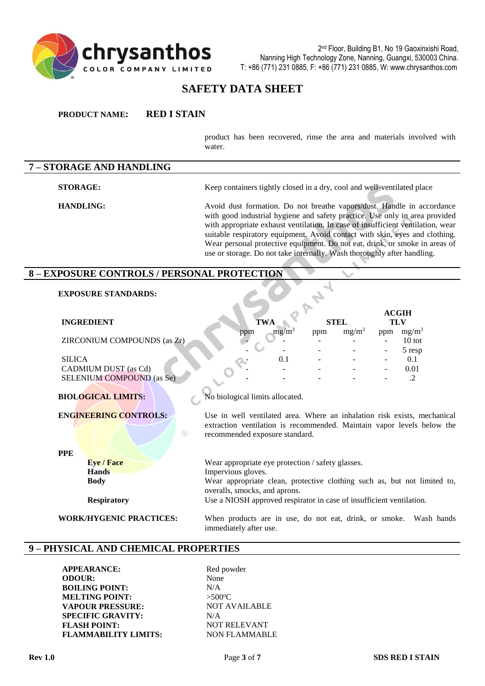

# **SAFETY DATA SHEET**

**PRODUCT NAME: RED I STAIN**

product has been recovered, rinse the area and materials involved with water.

# **7 – STORAGE AND HANDLING**

**STORAGE:** Keep containers tightly closed in a dry, cool and well-ventilated place

**HANDLING:** Avoid dust formation. Do not breathe vapors/dust. Handle in accordance with good industrial hygiene and safety practice. Use only in area provided with appropriate exhaust ventilation. In case of insufficient ventilation, wear suitable respiratory equipment. Avoid contact with skin, eyes and clothing. Wear personal protective equipment. Do not eat, drink, or smoke in areas of use or storage. Do not take internally. Wash thoroughly after handling.

#### **8 – EXPOSURE CONTROLS / PERSONAL PROTECTION**

 $\circledR$ 

#### **EXPOSURE STANDARDS:**

|                             |             |             |          | <b>ACGIH</b>             |          |
|-----------------------------|-------------|-------------|----------|--------------------------|----------|
| <b>INGREDIENT</b>           | <b>TWA</b>  | <b>STEL</b> |          | <b>TLV</b>               |          |
|                             | mg/m<br>ppm | ppm         | $mg/m^3$ | ppm                      | $mg/m^3$ |
| ZIRCONIUM COMPOUNDS (as Zr) |             |             |          |                          | $10$ tot |
|                             |             |             |          | $\overline{\phantom{a}}$ | 5 resp   |
| <b>SILICA</b>               | 0.1         |             |          | $\overline{\phantom{0}}$ | 0.1      |
| <b>CADMIUM DUST</b> (as Cd) |             |             |          | $\overline{\phantom{a}}$ | 0.01     |
| SELENIUM COMPOUND (as Se)   |             |             |          |                          |          |

#### **BIOLOGICAL LIMITS:** No biological limits allocated.

**PPE**

**ENGINEERING CONTROLS:** Use in well ventilated area. Where an inhalation risk exists, mechanical extraction ventilation is recommended. Maintain vapor levels below the recommended exposure standard.

**Eye / Face** Wear appropriate eye protection / safety glasses. **Hands** Impervious gloves. **Body** Wear appropriate clean, protective clothing such as, but not limited to, overalls, smocks, and aprons. **Respiratory** Use a NIOSH approved respirator in case of insufficient ventilation.

**WORK/HYGENIC PRACTICES:** When products are in use, do not eat, drink, or smoke. Wash hands immediately after use.

#### **9 – PHYSICAL AND CHEMICAL PROPERTIES**

**APPEARANCE:** Red powder **ODOUR:** None **BOILING POINT:** N/A **MELTING POINT:** >500 > >500 > >500 > > +500  $\degree$ **VAPOUR PRESSURE:** NOT AVAILABLE **SPECIFIC GRAVITY:** N/A FLASH POINT: NOT RELEVANT **FLAMMABILITY LIMITS:** NON FLAMMABLE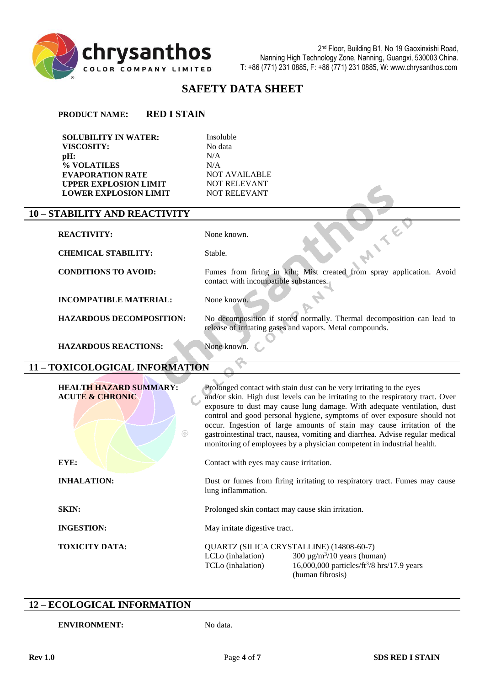

# **SAFETY DATA SHEET**

**PRODUCT NAME: RED I STAIN**

**SOLUBILITY IN WATER:** Insoluble **VISCOSITY:**<br> **DH:** No data<br>
N/A **pH:** N/A **% VOLATILES** N/A<br> **EVAPORATION RATE** NOT AVAILABLE **EVAPORATION RATE NOT AVAILABLI<br>
UPPER EXPLOSION LIMIT NOT RELEVANT UPPER EXPLOSION LIMIT NOT RELEVANT<br>
LOWER EXPLOSION LIMIT NOT RELEVANT LOWER EXPLOSION LIMIT** 

#### **10 – STABILITY AND REACTIVITY**

| <b>REACTIVITY:</b>              | None known.                                                                                                                        |
|---------------------------------|------------------------------------------------------------------------------------------------------------------------------------|
| <b>CHEMICAL STABILITY:</b>      | Stable.                                                                                                                            |
| <b>CONDITIONS TO AVOID:</b>     | Fumes from firing in kiln; Mist created from spray application. Avoid<br>contact with incompatible substances.                     |
| <b>INCOMPATIBLE MATERIAL:</b>   | None known.                                                                                                                        |
| <b>HAZARDOUS DECOMPOSITION:</b> | No decomposition if stored normally. Thermal decomposition can lead to<br>release of irritating gases and vapors. Metal compounds. |
| <b>HAZARDOUS REACTIONS:</b>     | None known.                                                                                                                        |

#### **11 – TOXICOLOGICAL INFORMATION**

| <b>HEALTH HAZARD SUMMARY:</b><br><b>ACUTE &amp; CHRONIC</b><br>$\circledR$ | Prolonged contact with stain dust can be very irritating to the eyes<br>and/or skin. High dust levels can be irritating to the respiratory tract. Over<br>exposure to dust may cause lung damage. With adequate ventilation, dust<br>control and good personal hygiene, symptoms of over exposure should not<br>occur. Ingestion of large amounts of stain may cause irritation of the<br>gastrointestinal tract, nausea, vomiting and diarrhea. Advise regular medical<br>monitoring of employees by a physician competent in industrial health. |
|----------------------------------------------------------------------------|---------------------------------------------------------------------------------------------------------------------------------------------------------------------------------------------------------------------------------------------------------------------------------------------------------------------------------------------------------------------------------------------------------------------------------------------------------------------------------------------------------------------------------------------------|
| EYE:                                                                       | Contact with eyes may cause irritation.                                                                                                                                                                                                                                                                                                                                                                                                                                                                                                           |
| <b>INHALATION:</b>                                                         | Dust or fumes from firing irritating to respiratory tract. Fumes may cause<br>lung inflammation.                                                                                                                                                                                                                                                                                                                                                                                                                                                  |
| <b>SKIN:</b>                                                               | Prolonged skin contact may cause skin irritation.                                                                                                                                                                                                                                                                                                                                                                                                                                                                                                 |
| <b>INGESTION:</b>                                                          | May irritate digestive tract.                                                                                                                                                                                                                                                                                                                                                                                                                                                                                                                     |
| <b>TOXICITY DATA:</b>                                                      | QUARTZ (SILICA CRYSTALLINE) (14808-60-7)<br>300 $\mu$ g/m <sup>3</sup> /10 years (human)<br>LCLo (inhalation)<br>16,000,000 particles/ft <sup>3</sup> /8 hrs/17.9 years<br>TCLo (inhalation)<br>(human fibrosis)                                                                                                                                                                                                                                                                                                                                  |

#### **12 – ECOLOGICAL INFORMATION**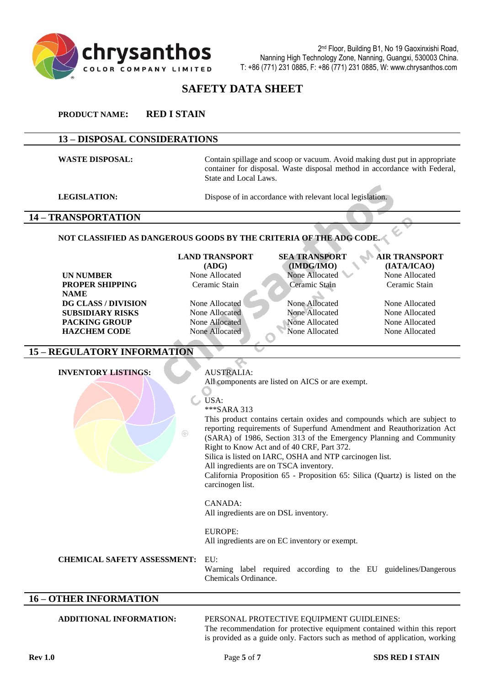

2 nd Floor, Building B1, No 19 Gaoxinxishi Road, Nanning High Technology Zone, Nanning, Guangxi, 530003 China. T: +86 (771) 231 0885, F: +86 (771) 231 0885, W: www.chrysanthos.com

# **SAFETY DATA SHEET**

**PRODUCT NAME: RED I STAIN**

#### **13 – DISPOSAL CONSIDERATIONS**

WASTE DISPOSAL: Contain spillage and scoop or vacuum. Avoid making dust put in appropriate container for disposal. Waste disposal method in accordance with Federal, State and Local Laws.

**LEGISLATION:** Dispose of in accordance with relevant local legislation.

#### **14 – TRANSPORTATION**

#### **NOT CLASSIFIED AS DANGEROUS GOODS BY THE CRITERIA OF THE ADG CODE.**

**UN NUMBER** None Allocated None Allocated None Allocated None Allocated None Allocated **PROPER SHIPPING NAME DG CLASS / DIVISION** None Allocated None Allocated None Allocated None Allocated **SUBSIDIARY RISKS** None Allocated None Allocated None Allocated None Allocated None Allocated **PACKING GROUP** None Allocated None Allocated None Allocated None Allocated None Allocated **HAZCHEM CODE** None Allocated None Allocated None Allocated None Allocated None Allocated

# **LAND TRANSPORT (ADG)**

# **SEA TRANSPORT (IMDG/IMO)** Ceramic Stain Ceramic Stain Ceramic Stain

**AIR TRANSPORT (IATA/ICAO)**

#### **15 – REGULATORY INFORMATION**

#### **INVENTORY LISTINGS:** AUSTRALIA: All components are listed on AICS or are exempt. USA: \*\*\*SARA 313 This product contains certain oxides and compounds which are subject to reporting requirements of Superfund Amendment and Reauthorization Act  $\circledR$ (SARA) of 1986, Section 313 of the Emergency Planning and Community Right to Know Act and of 40 CRF, Part 372. Silica is listed on IARC, OSHA and NTP carcinogen list. All ingredients are on TSCA inventory. California Proposition 65 - Proposition 65: Silica (Quartz) is listed on the carcinogen list. CANADA: All ingredients are on DSL inventory. EUROPE: All ingredients are on EC inventory or exempt. **CHEMICAL SAFETY ASSESSMENT:** EU: Warning label required according to the EU guidelines/Dangerous Chemicals Ordinance.

#### **16 – OTHER INFORMATION**

#### **ADDITIONAL INFORMATION:** PERSONAL PROTECTIVE EQUIPMENT GUIDLEINES:

The recommendation for protective equipment contained within this report is provided as a guide only. Factors such as method of application, working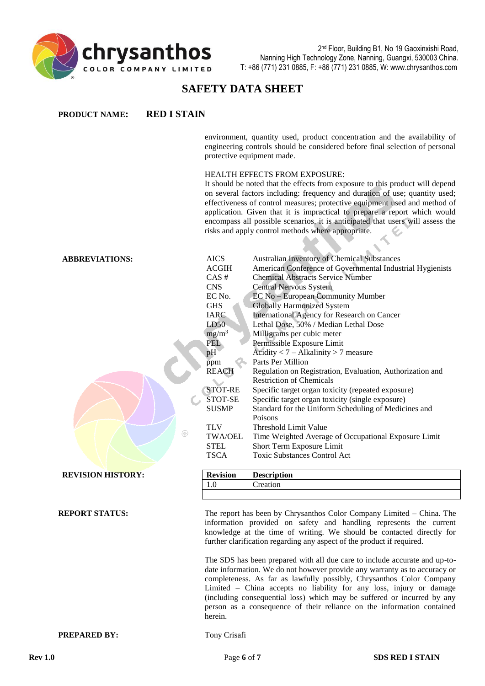

# **SAFETY DATA SHEET**

| <b>PRODUCT NAME:</b>     | <b>RED I STAIN</b>                                                                                                                                                                                                                                        |                                                                                                                                                                                                                                                                                                                                                                                                                                                                                                                                                                                                                                                                                                                                                                                                                                                                                                                             |  |
|--------------------------|-----------------------------------------------------------------------------------------------------------------------------------------------------------------------------------------------------------------------------------------------------------|-----------------------------------------------------------------------------------------------------------------------------------------------------------------------------------------------------------------------------------------------------------------------------------------------------------------------------------------------------------------------------------------------------------------------------------------------------------------------------------------------------------------------------------------------------------------------------------------------------------------------------------------------------------------------------------------------------------------------------------------------------------------------------------------------------------------------------------------------------------------------------------------------------------------------------|--|
|                          |                                                                                                                                                                                                                                                           | environment, quantity used, product concentration and the availability of<br>engineering controls should be considered before final selection of personal<br>protective equipment made.                                                                                                                                                                                                                                                                                                                                                                                                                                                                                                                                                                                                                                                                                                                                     |  |
|                          |                                                                                                                                                                                                                                                           | <b>HEALTH EFFECTS FROM EXPOSURE:</b><br>It should be noted that the effects from exposure to this product will depend<br>on several factors including: frequency and duration of use; quantity used;<br>effectiveness of control measures; protective equipment used and method of<br>application. Given that it is impractical to prepare a report which would<br>encompass all possible scenarios, it is anticipated that users will assess the<br>risks and apply control methods where appropriate.                                                                                                                                                                                                                                                                                                                                                                                                                     |  |
| <b>ABBREVIATIONS:</b>    | <b>AICS</b><br><b>ACGIH</b><br>CAS#<br><b>CNS</b><br>EC No.<br><b>GHS</b><br><b>IARC</b><br>LD50<br>$mg/m^3$<br><b>PEL</b><br>pH<br>ppm<br><b>REACH</b><br>STOT-RE<br>STOT-SE<br><b>SUSMP</b><br><b>TLV</b><br>⊛<br>TWA/OEL<br><b>STEL</b><br><b>TSCA</b> | Australian Inventory of Chemical Substances<br>American Conference of Governmental Industrial Hygienists<br><b>Chemical Abstracts Service Number</b><br><b>Central Nervous System</b><br>EC No - European Community Mumber<br><b>Globally Harmonized System</b><br>International Agency for Research on Cancer<br>Lethal Dose, 50% / Median Lethal Dose<br>Milligrams per cubic meter<br>Permissible Exposure Limit<br>Acidity $< 7 - Alkalinity > 7$ measure<br>Parts Per Million<br>Regulation on Registration, Evaluation, Authorization and<br><b>Restriction of Chemicals</b><br>Specific target organ toxicity (repeated exposure)<br>Specific target organ toxicity (single exposure)<br>Standard for the Uniform Scheduling of Medicines and<br>Poisons<br><b>Threshold Limit Value</b><br>Time Weighted Average of Occupational Exposure Limit<br>Short Term Exposure Limit<br><b>Toxic Substances Control Act</b> |  |
| <b>REVISION HISTORY:</b> | <b>Revision</b>                                                                                                                                                                                                                                           | <b>Description</b>                                                                                                                                                                                                                                                                                                                                                                                                                                                                                                                                                                                                                                                                                                                                                                                                                                                                                                          |  |
|                          | 1.0                                                                                                                                                                                                                                                       | Creation                                                                                                                                                                                                                                                                                                                                                                                                                                                                                                                                                                                                                                                                                                                                                                                                                                                                                                                    |  |
| <b>REPORT STATUS:</b>    |                                                                                                                                                                                                                                                           | The report has been by Chrysanthos Color Company Limited - China. The<br>information provided on safety and handling represents the current<br>knowledge at the time of writing. We should be contacted directly for<br>further clarification regarding any aspect of the product if required.                                                                                                                                                                                                                                                                                                                                                                                                                                                                                                                                                                                                                              |  |
|                          | herein.                                                                                                                                                                                                                                                   | The SDS has been prepared with all due care to include accurate and up-to-<br>date information. We do not however provide any warranty as to accuracy or<br>completeness. As far as lawfully possibly, Chrysanthos Color Company<br>Limited - China accepts no liability for any loss, injury or damage<br>(including consequential loss) which may be suffered or incurred by any<br>person as a consequence of their reliance on the information contained                                                                                                                                                                                                                                                                                                                                                                                                                                                                |  |
| <b>PREPARED BY:</b>      | Tony Crisafi                                                                                                                                                                                                                                              |                                                                                                                                                                                                                                                                                                                                                                                                                                                                                                                                                                                                                                                                                                                                                                                                                                                                                                                             |  |